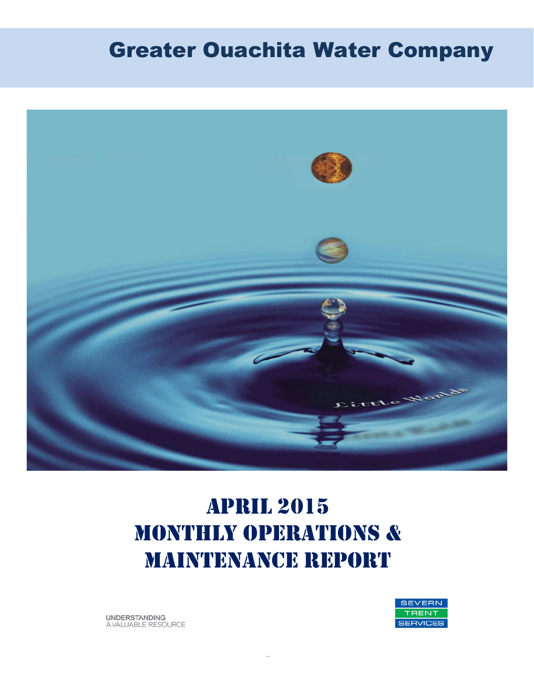# Greater Ouachita Water Company



# April 2015 MONTHLY OPERATIONS & MAINTENANCE REPORT

**UNDERSTANDING** A VALUABLE RESOURCE

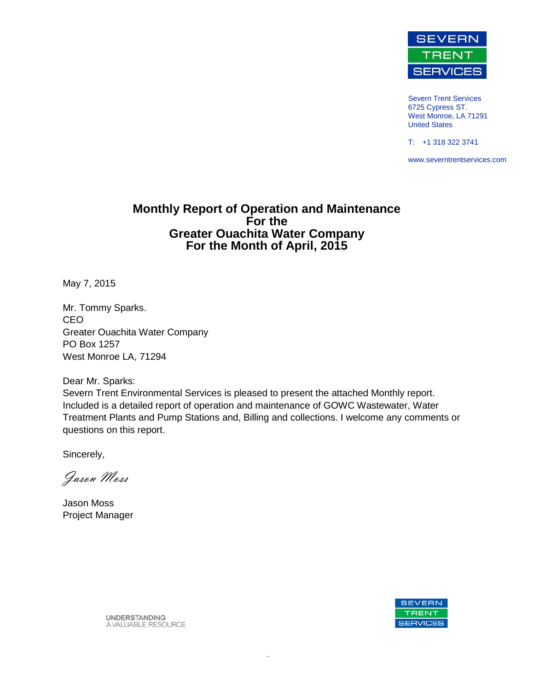

Severn Trent Services 6725 Cypress ST. West Monroe, LA 71291 United States

T: +1 318 322 3741

www.severntrentservices.com

#### **Monthly Report of Operation and Maintenance For the Greater Ouachita Water Company For the Month of April, 2015**

May 7, 2015

Mr. Tommy Sparks. CEO Greater Ouachita Water Company PO Box 1257 West Monroe LA, 71294

Dear Mr. Sparks:

Severn Trent Environmental Services is pleased to present the attached Monthly report. Included is a detailed report of operation and maintenance of GOWC Wastewater, Water Treatment Plants and Pump Stations and, Billing and collections. I welcome any comments or questions on this report.

Sincerely,

Jason Moss

Jason Moss Project Manager



**UNDERSTANDING** A VALUABLE RESOURCE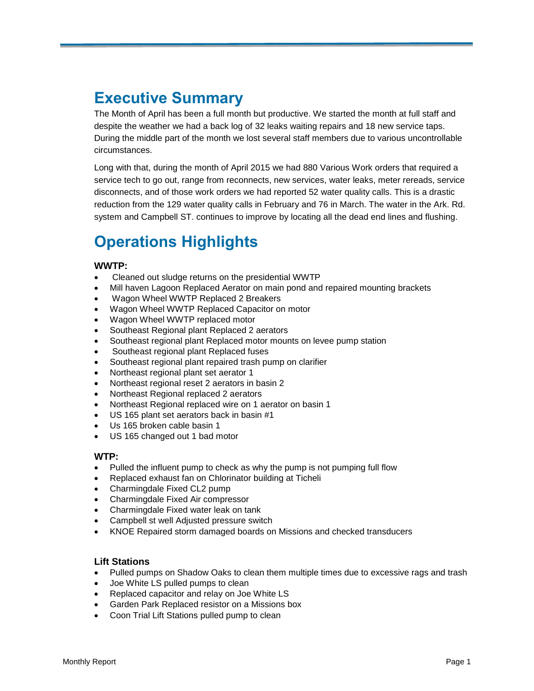# **Executive Summary**

The Month of April has been a full month but productive. We started the month at full staff and despite the weather we had a back log of 32 leaks waiting repairs and 18 new service taps. During the middle part of the month we lost several staff members due to various uncontrollable circumstances.

Long with that, during the month of April 2015 we had 880 Various Work orders that required a service tech to go out, range from reconnects, new services, water leaks, meter rereads, service disconnects, and of those work orders we had reported 52 water quality calls. This is a drastic reduction from the 129 water quality calls in February and 76 in March. The water in the Ark. Rd. system and Campbell ST. continues to improve by locating all the dead end lines and flushing.

# **Operations Highlights**

#### **WWTP:**

- Cleaned out sludge returns on the presidential WWTP
- Mill haven Lagoon Replaced Aerator on main pond and repaired mounting brackets
- Wagon Wheel WWTP Replaced 2 Breakers
- Wagon Wheel WWTP Replaced Capacitor on motor
- Wagon Wheel WWTP replaced motor
- Southeast Regional plant Replaced 2 aerators
- Southeast regional plant Replaced motor mounts on levee pump station
- Southeast regional plant Replaced fuses
- Southeast regional plant repaired trash pump on clarifier
- Northeast regional plant set aerator 1
- Northeast regional reset 2 aerators in basin 2
- Northeast Regional replaced 2 aerators
- Northeast Regional replaced wire on 1 aerator on basin 1
- US 165 plant set aerators back in basin #1
- Us 165 broken cable basin 1
- US 165 changed out 1 bad motor

#### **WTP:**

- Pulled the influent pump to check as why the pump is not pumping full flow
- Replaced exhaust fan on Chlorinator building at Ticheli
- Charmingdale Fixed CL2 pump
- Charmingdale Fixed Air compressor
- Charmingdale Fixed water leak on tank
- Campbell st well Adjusted pressure switch
- KNOE Repaired storm damaged boards on Missions and checked transducers

#### **Lift Stations**

- Pulled pumps on Shadow Oaks to clean them multiple times due to excessive rags and trash
- Joe White LS pulled pumps to clean
- Replaced capacitor and relay on Joe White LS
- Garden Park Replaced resistor on a Missions box
- Coon Trial Lift Stations pulled pump to clean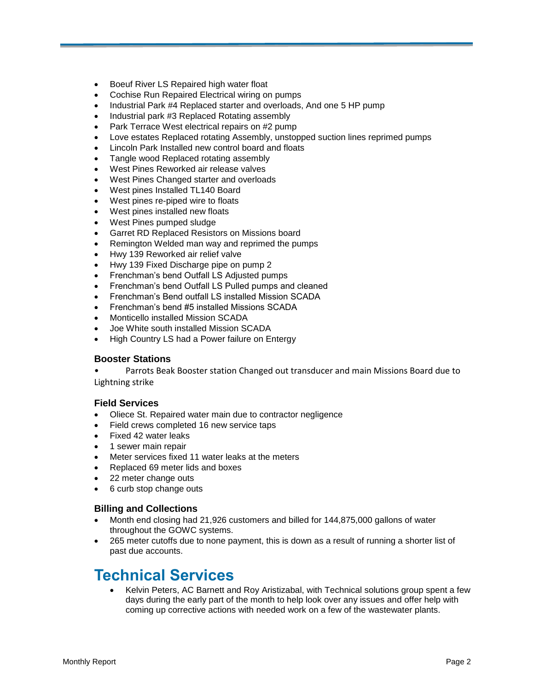- **•** Boeuf River LS Repaired high water float
- Cochise Run Repaired Electrical wiring on pumps
- Industrial Park #4 Replaced starter and overloads, And one 5 HP pump
- Industrial park #3 Replaced Rotating assembly
- Park Terrace West electrical repairs on #2 pump
- Love estates Replaced rotating Assembly, unstopped suction lines reprimed pumps
- Lincoln Park Installed new control board and floats
- Tangle wood Replaced rotating assembly
- West Pines Reworked air release valves
- West Pines Changed starter and overloads
- West pines Installed TL140 Board
- West pines re-piped wire to floats
- West pines installed new floats
- West Pines pumped sludge
- Garret RD Replaced Resistors on Missions board
- Remington Welded man way and reprimed the pumps
- Hwy 139 Reworked air relief valve
- Hwy 139 Fixed Discharge pipe on pump 2
- Frenchman's bend Outfall LS Adjusted pumps
- Frenchman's bend Outfall LS Pulled pumps and cleaned
- Frenchman's Bend outfall LS installed Mission SCADA
- Frenchman's bend #5 installed Missions SCADA
- Monticello installed Mission SCADA
- Joe White south installed Mission SCADA
- High Country LS had a Power failure on Entergy

#### **Booster Stations**

• Parrots Beak Booster station Changed out transducer and main Missions Board due to Lightning strike

#### **Field Services**

- Oliece St. Repaired water main due to contractor negligence
- Field crews completed 16 new service taps
- Fixed 42 water leaks
- 1 sewer main repair
- Meter services fixed 11 water leaks at the meters
- Replaced 69 meter lids and boxes
- 22 meter change outs
- 6 curb stop change outs

#### **Billing and Collections**

- Month end closing had 21,926 customers and billed for 144,875,000 gallons of water throughout the GOWC systems.
- 265 meter cutoffs due to none payment, this is down as a result of running a shorter list of past due accounts.

### **Technical Services**

 Kelvin Peters, AC Barnett and Roy Aristizabal, with Technical solutions group spent a few days during the early part of the month to help look over any issues and offer help with coming up corrective actions with needed work on a few of the wastewater plants.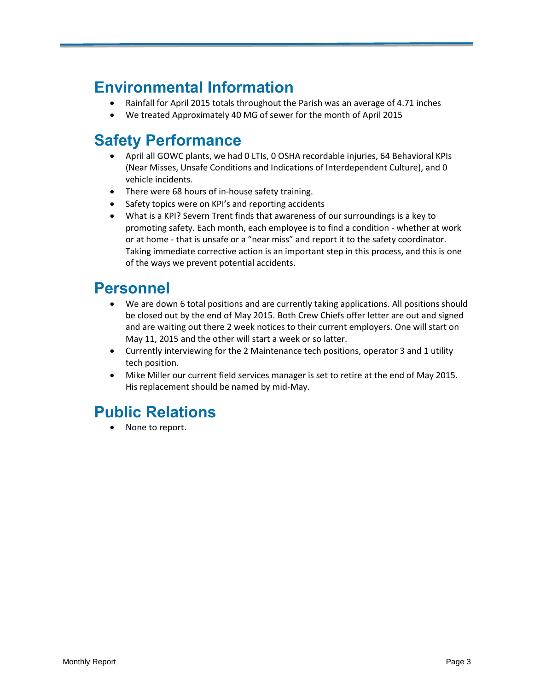# **Environmental Information**

- Rainfall for April 2015 totals throughout the Parish was an average of 4.71 inches
- We treated Approximately 40 MG of sewer for the month of April 2015

# **Safety Performance**

- April all GOWC plants, we had 0 LTIs, 0 OSHA recordable injuries, 64 Behavioral KPIs (Near Misses, Unsafe Conditions and Indications of Interdependent Culture), and 0 vehicle incidents.
- There were 68 hours of in-house safety training.
- Safety topics were on KPI's and reporting accidents
- What is a KPI? Severn Trent finds that awareness of our surroundings is a key to promoting safety. Each month, each employee is to find a condition - whether at work or at home - that is unsafe or a "near miss" and report it to the safety coordinator. Taking immediate corrective action is an important step in this process, and this is one of the ways we prevent potential accidents.

### **Personnel**

- We are down 6 total positions and are currently taking applications. All positions should be closed out by the end of May 2015. Both Crew Chiefs offer letter are out and signed and are waiting out there 2 week notices to their current employers. One will start on May 11, 2015 and the other will start a week or so latter.
- Currently interviewing for the 2 Maintenance tech positions, operator 3 and 1 utility tech position.
- Mike Miller our current field services manager is set to retire at the end of May 2015. His replacement should be named by mid-May.

# **Public Relations**

• None to report.